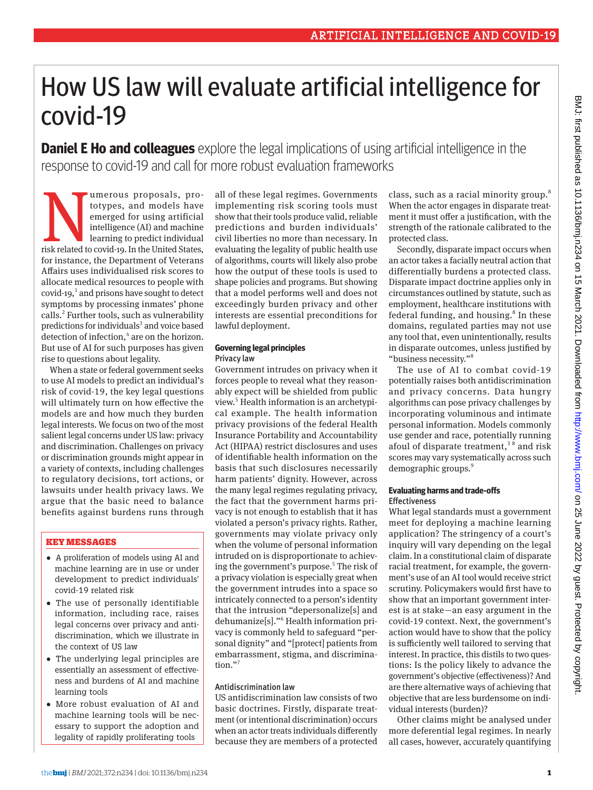# How US law will evaluate artificial intelligence for covid-19

**Daniel E Ho and colleagues** explore the legal implications of using artificial intelligence in the response to covid-19 and call for more robust evaluation frameworks

Umerous proposals, pro-<br>totypes, and models have<br>emerged for using artificial<br>intelligence (AI) and machine<br>learning to predict individual<br>risk related to covid-19. In the United States, totypes, and models have emerged for using artificial intelligence (AI) and machine learning to predict individual for instance, the Department of Veterans Affairs uses individualised risk scores to allocate medical resources to people with covid-19, $<sup>1</sup>$  and prisons have sought to detect</sup> symptoms by processing inmates' phone calls.<sup>2</sup> Further tools, such as vulnerability predictions for individuals<sup>3</sup> and voice based detection of infection,<sup>4</sup> are on the horizon. But use of AI for such purposes has given rise to questions about legality.

When a state or federal government seeks to use AI models to predict an individual's risk of covid-19, the key legal questions will ultimately turn on how effective the models are and how much they burden legal interests. We focus on two of the most salient legal concerns under US law: privacy and discrimination. Challenges on privacy or discrimination grounds might appear in a variety of contexts, including challenges to regulatory decisions, tort actions, or lawsuits under health privacy laws. We argue that the basic need to balance benefits against burdens runs through

# KEY MESSAGES

- •  A proliferation of models using AI and machine learning are in use or under development to predict individuals' covid-19 related risk
- •  The use of personally identifiable information, including race, raises legal concerns over privacy and antidiscrimination, which we illustrate in the context of US law
- •  The underlying legal principles are essentially an assessment of effectiveness and burdens of AI and machine learning tools
- •  More robust evaluation of AI and machine learning tools will be necessary to support the adoption and legality of rapidly proliferating tools

all of these legal regimes. Governments implementing risk scoring tools must show that their tools produce valid, reliable predictions and burden individuals' civil liberties no more than necessary. In evaluating the legality of public health use of algorithms, courts will likely also probe how the output of these tools is used to shape policies and programs. But showing that a model performs well and does not exceedingly burden privacy and other interests are essential preconditions for lawful deployment.

#### **Governing legal principles** Privacy law

Government intrudes on privacy when it forces people to reveal what they reasonably expect will be shielded from public view.<sup>5</sup> Health information is an archetypical example. The health information privacy provisions of the federal Health Insurance Portability and Accountability Act (HIPAA) restrict disclosures and uses of identifiable health information on the basis that such disclosures necessarily harm patients' dignity. However, across the many legal regimes regulating privacy, the fact that the government harms privacy is not enough to establish that it has violated a person's privacy rights. Rather, governments may violate privacy only when the volume of personal information intruded on is disproportionate to achieving the government's purpose.<sup>5</sup> The risk of a privacy violation is especially great when the government intrudes into a space so intricately connected to a person's identity that the intrusion "depersonalize[s] and dehumanize[s]."<sup>6</sup> Health information privacy is commonly held to safeguard "personal dignity" and "[protect] patients from embarrassment, stigma, and discrimination."

# Antidiscrimination law

US antidiscrimination law consists of two basic doctrines. Firstly, disparate treatment (or intentional discrimination) occurs when an actor treats individuals differently because they are members of a protected

class, such as a racial minority group.<sup>8</sup> When the actor engages in disparate treatment it must offer a justification, with the strength of the rationale calibrated to the protected class.

Secondly, disparate impact occurs when an actor takes a facially neutral action that differentially burdens a protected class. Disparate impact doctrine applies only in circumstances outlined by statute, such as employment, healthcare institutions with federal funding, and housing.<sup>8</sup> In these domains, regulated parties may not use any tool that, even unintentionally, results in disparate outcomes, unless justified by "business necessity."8

The use of AI to combat covid-19 potentially raises both antidiscrimination and privacy concerns. Data hungry algorithms can pose privacy challenges by incorporating voluminous and intimate personal information. Models commonly use gender and race, potentially running afoul of disparate treatment,<sup>38</sup> and risk scores may vary systematically across such demographic groups.9

### **Evaluating harms and trade-offs Effectiveness**

What legal standards must a government meet for deploying a machine learning application? The stringency of a court's inquiry will vary depending on the legal claim. In a constitutional claim of disparate racial treatment, for example, the government's use of an AI tool would receive strict scrutiny. Policymakers would first have to show that an important government interest is at stake—an easy argument in the covid-19 context. Next, the government's action would have to show that the policy is sufficiently well tailored to serving that interest. In practice, this distils to two questions: Is the policy likely to advance the government's objective (effectiveness)? And are there alternative ways of achieving that objective that are less burdensome on individual interests (burden)?

Other claims might be analysed under more deferential legal regimes. In nearly all cases, however, accurately quantifying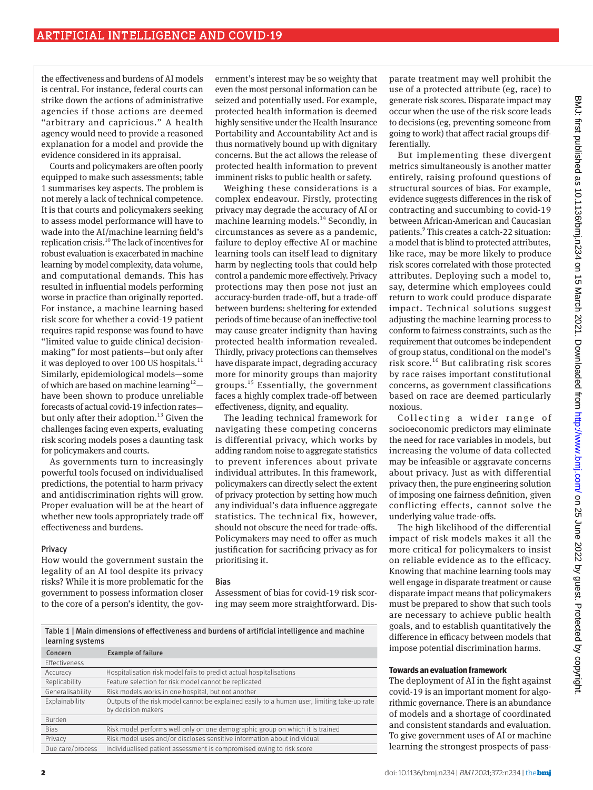the effectiveness and burdens of AI models is central. For instance, federal courts can strike down the actions of administrative agencies if those actions are deemed "arbitrary and capricious." A health agency would need to provide a reasoned explanation for a model and provide the evidence considered in its appraisal.

Courts and policymakers are often poorly equipped to make such assessments; table 1 summarises key aspects. The problem is not merely a lack of technical competence. It is that courts and policymakers seeking to assess model performance will have to wade into the AI/machine learning field's replication crisis.10 The lack of incentives for robust evaluation is exacerbated in machine learning by model complexity, data volume, and computational demands. This has resulted in influential models performing worse in practice than originally reported. For instance, a machine learning based risk score for whether a covid-19 patient requires rapid response was found to have "limited value to guide clinical decisionmaking" for most patients—but only after it was deployed to over 100 US hospitals.<sup>11</sup> Similarly, epidemiological models—some of which are based on machine learning<sup>12</sup>have been shown to produce unreliable forecasts of actual covid-19 infection rates but only after their adoption.<sup>13</sup> Given the challenges facing even experts, evaluating risk scoring models poses a daunting task for policymakers and courts.

As governments turn to increasingly powerful tools focused on individualised predictions, the potential to harm privacy and antidiscrimination rights will grow. Proper evaluation will be at the heart of whether new tools appropriately trade off effectiveness and burdens.

#### Privacy

How would the government sustain the legality of an AI tool despite its privacy risks? While it is more problematic for the government to possess information closer to the core of a person's identity, the gov-

ernment's interest may be so weighty that even the most personal information can be seized and potentially used. For example, protected health information is deemed highly sensitive under the Health Insurance Portability and Accountability Act and is thus normatively bound up with dignitary concerns. But the act allows the release of protected health information to prevent imminent risks to public health or safety.

Weighing these considerations is a complex endeavour. Firstly, protecting privacy may degrade the accuracy of AI or machine learning models.<sup>14</sup> Secondly, in circumstances as severe as a pandemic, failure to deploy effective AI or machine learning tools can itself lead to dignitary harm by neglecting tools that could help control a pandemic more effectively. Privacy protections may then pose not just an accuracy-burden trade-off, but a trade-off between burdens: sheltering for extended periods of time because of an ineffective tool may cause greater indignity than having protected health information revealed. Thirdly, privacy protections can themselves have disparate impact, degrading accuracy more for minority groups than majority groups. $15$  Essentially, the government faces a highly complex trade-off between effectiveness, dignity, and equality.

The leading technical framework for navigating these competing concerns is differential privacy, which works by adding random noise to aggregate statistics to prevent inferences about private individual attributes. In this framework, policymakers can directly select the extent of privacy protection by setting how much any individual's data influence aggregate statistics. The technical fix, however, should not obscure the need for trade-offs. Policymakers may need to offer as much justification for sacrificing privacy as for prioritising it.

#### Bias

Assessment of bias for covid-19 risk scoring may seem more straightforward. Dis-

Table 1 | Main dimensions of effectiveness and burdens of artificial intelligence and machine learning systems

| learning systems     |                                                                                                                   |
|----------------------|-------------------------------------------------------------------------------------------------------------------|
| Concern              | <b>Example of failure</b>                                                                                         |
| <b>Effectiveness</b> |                                                                                                                   |
| Accuracy             | Hospitalisation risk model fails to predict actual hospitalisations                                               |
| Replicability        | Feature selection for risk model cannot be replicated                                                             |
| Generalisability     | Risk models works in one hospital, but not another                                                                |
| Explainability       | Outputs of the risk model cannot be explained easily to a human user, limiting take-up rate<br>by decision makers |
| Burden               |                                                                                                                   |
| <b>Bias</b>          | Risk model performs well only on one demographic group on which it is trained                                     |
| Privacy              | Risk model uses and/or discloses sensitive information about individual                                           |
| Due care/process     | Individualised patient assessment is compromised owing to risk score                                              |
|                      |                                                                                                                   |

parate treatment may well prohibit the use of a protected attribute (eg, race) to generate risk scores. Disparate impact may occur when the use of the risk score leads to decisions (eg, preventing someone from going to work) that affect racial groups differentially.

But implementing these divergent metrics simultaneously is another matter entirely, raising profound questions of structural sources of bias. For example, evidence suggests differences in the risk of contracting and succumbing to covid-19 between African-American and Caucasian patients.<sup>9</sup> This creates a catch-22 situation: a model that is blind to protected attributes, like race, may be more likely to produce risk scores correlated with those protected attributes. Deploying such a model to, say, determine which employees could return to work could produce disparate impact. Technical solutions suggest adjusting the machine learning process to conform to fairness constraints, such as the requirement that outcomes be independent of group status, conditional on the model's risk score.16 But calibrating risk scores by race raises important constitutional concerns, as government classifications based on race are deemed particularly noxious.

Collecting a wider range of socioeconomic predictors may eliminate the need for race variables in models, but increasing the volume of data collected may be infeasible or aggravate concerns about privacy. Just as with differential privacy then, the pure engineering solution of imposing one fairness definition, given conflicting effects, cannot solve the underlying value trade-offs.

The high likelihood of the differential impact of risk models makes it all the more critical for policymakers to insist on reliable evidence as to the efficacy. Knowing that machine learning tools may well engage in disparate treatment or cause disparate impact means that policymakers must be prepared to show that such tools are necessary to achieve public health goals, and to establish quantitatively the difference in efficacy between models that impose potential discrimination harms.

# **Towards an evaluation framework**

The deployment of AI in the fight against covid-19 is an important moment for algorithmic governance. There is an abundance of models and a shortage of coordinated and consistent standards and evaluation. To give government uses of AI or machine learning the strongest prospects of pass-